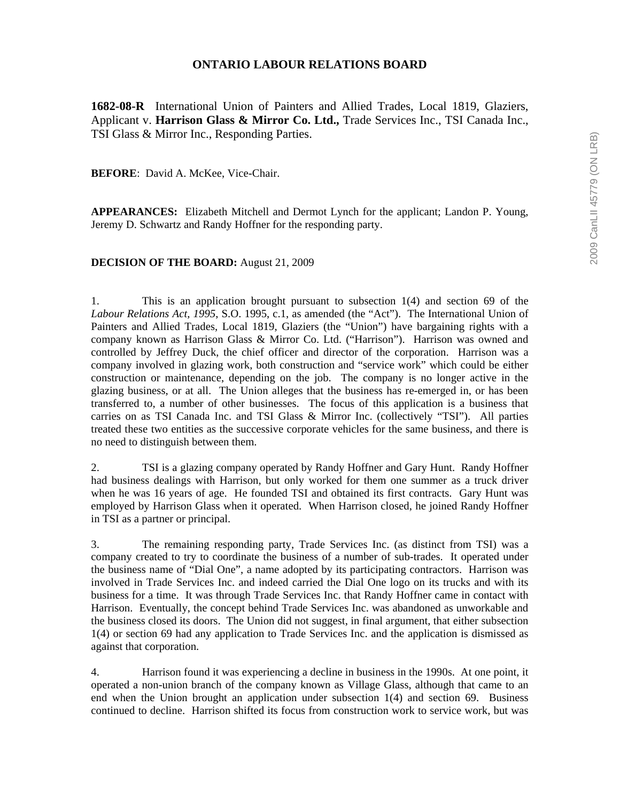# **ONTARIO LABOUR RELATIONS BOARD**

**1682-08-R** International Union of Painters and Allied Trades, Local 1819, Glaziers, Applicant v. **Harrison Glass & Mirror Co. Ltd.,** Trade Services Inc., TSI Canada Inc., TSI Glass & Mirror Inc., Responding Parties.

**BEFORE**: David A. McKee, Vice-Chair.

**APPEARANCES:** Elizabeth Mitchell and Dermot Lynch for the applicant; Landon P. Young, Jeremy D. Schwartz and Randy Hoffner for the responding party.

### **DECISION OF THE BOARD:** August 21, 2009

1. This is an application brought pursuant to subsection 1(4) and section 69 of the *Labour Relations Act, 1995*, S.O. 1995, c.1, as amended (the "Act"). The International Union of Painters and Allied Trades, Local 1819, Glaziers (the "Union") have bargaining rights with a company known as Harrison Glass & Mirror Co. Ltd. ("Harrison"). Harrison was owned and controlled by Jeffrey Duck, the chief officer and director of the corporation. Harrison was a company involved in glazing work, both construction and "service work" which could be either construction or maintenance, depending on the job. The company is no longer active in the glazing business, or at all. The Union alleges that the business has re-emerged in, or has been transferred to, a number of other businesses. The focus of this application is a business that carries on as TSI Canada Inc. and TSI Glass & Mirror Inc. (collectively "TSI"). All parties treated these two entities as the successive corporate vehicles for the same business, and there is no need to distinguish between them.

2. TSI is a glazing company operated by Randy Hoffner and Gary Hunt. Randy Hoffner had business dealings with Harrison, but only worked for them one summer as a truck driver when he was 16 years of age. He founded TSI and obtained its first contracts. Gary Hunt was employed by Harrison Glass when it operated. When Harrison closed, he joined Randy Hoffner in TSI as a partner or principal.

3. The remaining responding party, Trade Services Inc. (as distinct from TSI) was a company created to try to coordinate the business of a number of sub-trades. It operated under the business name of "Dial One", a name adopted by its participating contractors. Harrison was involved in Trade Services Inc. and indeed carried the Dial One logo on its trucks and with its business for a time. It was through Trade Services Inc. that Randy Hoffner came in contact with Harrison. Eventually, the concept behind Trade Services Inc. was abandoned as unworkable and the business closed its doors. The Union did not suggest, in final argument, that either subsection 1(4) or section 69 had any application to Trade Services Inc. and the application is dismissed as against that corporation.

4. Harrison found it was experiencing a decline in business in the 1990s. At one point, it operated a non-union branch of the company known as Village Glass, although that came to an end when the Union brought an application under subsection 1(4) and section 69. Business continued to decline. Harrison shifted its focus from construction work to service work, but was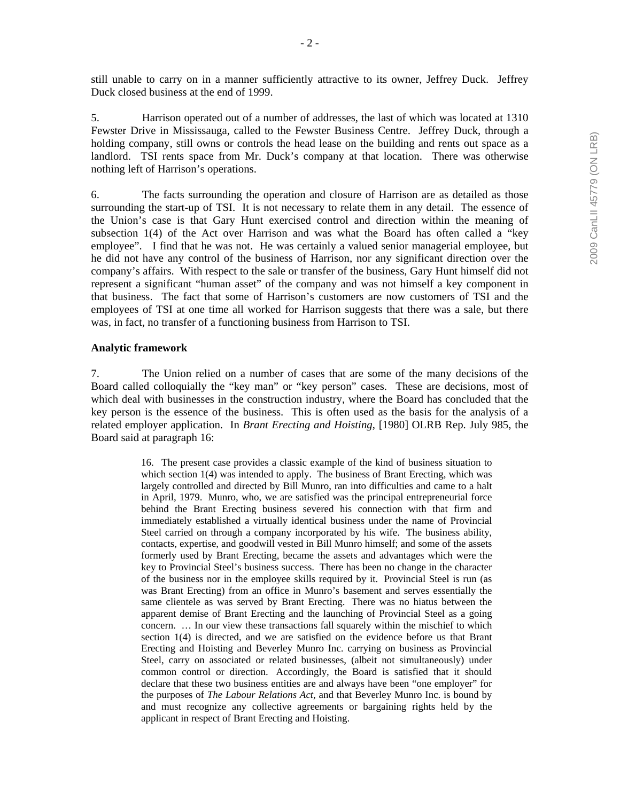5. Harrison operated out of a number of addresses, the last of which was located at 1310 Fewster Drive in Mississauga, called to the Fewster Business Centre. Jeffrey Duck, through a holding company, still owns or controls the head lease on the building and rents out space as a landlord. TSI rents space from Mr. Duck's company at that location. There was otherwise nothing left of Harrison's operations.

6. The facts surrounding the operation and closure of Harrison are as detailed as those surrounding the start-up of TSI. It is not necessary to relate them in any detail. The essence of the Union's case is that Gary Hunt exercised control and direction within the meaning of subsection 1(4) of the Act over Harrison and was what the Board has often called a "key employee". I find that he was not. He was certainly a valued senior managerial employee, but he did not have any control of the business of Harrison, nor any significant direction over the company's affairs. With respect to the sale or transfer of the business, Gary Hunt himself did not represent a significant "human asset" of the company and was not himself a key component in that business. The fact that some of Harrison's customers are now customers of TSI and the employees of TSI at one time all worked for Harrison suggests that there was a sale, but there was, in fact, no transfer of a functioning business from Harrison to TSI.

# **Analytic framework**

7. The Union relied on a number of cases that are some of the many decisions of the Board called colloquially the "key man" or "key person" cases. These are decisions, most of which deal with businesses in the construction industry, where the Board has concluded that the key person is the essence of the business. This is often used as the basis for the analysis of a related employer application. In *Brant Erecting and Hoisting*, [1980] OLRB Rep. July 985, the Board said at paragraph 16:

> 16. The present case provides a classic example of the kind of business situation to which section 1(4) was intended to apply. The business of Brant Erecting, which was largely controlled and directed by Bill Munro, ran into difficulties and came to a halt in April, 1979. Munro, who, we are satisfied was the principal entrepreneurial force behind the Brant Erecting business severed his connection with that firm and immediately established a virtually identical business under the name of Provincial Steel carried on through a company incorporated by his wife. The business ability, contacts, expertise, and goodwill vested in Bill Munro himself; and some of the assets formerly used by Brant Erecting, became the assets and advantages which were the key to Provincial Steel's business success. There has been no change in the character of the business nor in the employee skills required by it. Provincial Steel is run (as was Brant Erecting) from an office in Munro's basement and serves essentially the same clientele as was served by Brant Erecting. There was no hiatus between the apparent demise of Brant Erecting and the launching of Provincial Steel as a going concern. … In our view these transactions fall squarely within the mischief to which section 1(4) is directed, and we are satisfied on the evidence before us that Brant Erecting and Hoisting and Beverley Munro Inc. carrying on business as Provincial Steel, carry on associated or related businesses, (albeit not simultaneously) under common control or direction. Accordingly, the Board is satisfied that it should declare that these two business entities are and always have been "one employer" for the purposes of *The Labour Relations Act*, and that Beverley Munro Inc. is bound by and must recognize any collective agreements or bargaining rights held by the applicant in respect of Brant Erecting and Hoisting.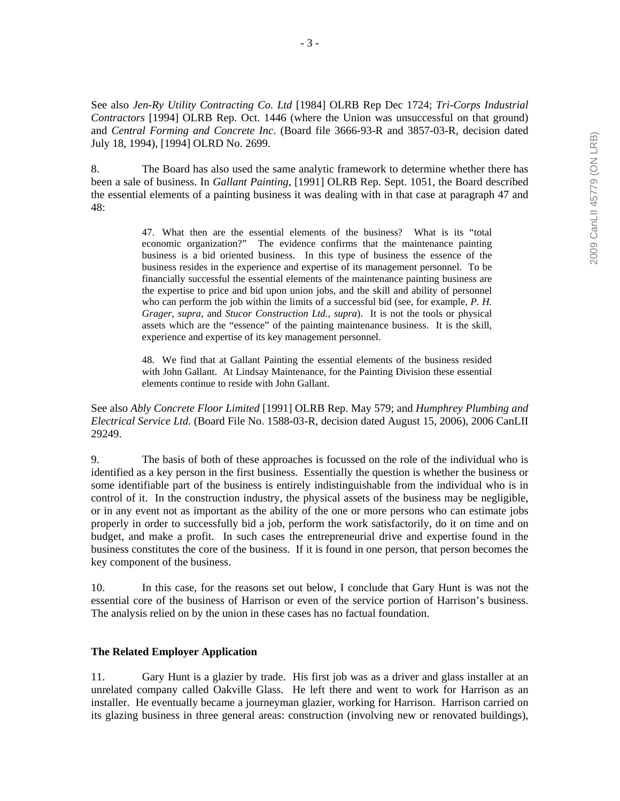See also *Jen-Ry Utility Contracting Co. Ltd* [1984] OLRB Rep Dec 1724; *Tri-Corps Industrial Contractors* [1994] OLRB Rep. Oct. 1446 (where the Union was unsuccessful on that ground) and *Central Forming and Concrete Inc*. (Board file 3666-93-R and 3857-03-R, decision dated July 18, 1994), [1994] OLRD No. 2699.

8. The Board has also used the same analytic framework to determine whether there has been a sale of business. In *Gallant Painting*, [1991] OLRB Rep. Sept. 1051, the Board described the essential elements of a painting business it was dealing with in that case at paragraph 47 and 48:

> 47. What then are the essential elements of the business? What is its "total economic organization?" The evidence confirms that the maintenance painting business is a bid oriented business. In this type of business the essence of the business resides in the experience and expertise of its management personnel. To be financially successful the essential elements of the maintenance painting business are the expertise to price and bid upon union jobs, and the skill and ability of personnel who can perform the job within the limits of a successful bid (see, for example, *P. H. Grager*, *supra*, and *Stucor Construction Ltd.*, *supra*). It is not the tools or physical assets which are the "essence" of the painting maintenance business. It is the skill, experience and expertise of its key management personnel.

> 48. We find that at Gallant Painting the essential elements of the business resided with John Gallant. At Lindsay Maintenance, for the Painting Division these essential elements continue to reside with John Gallant.

See also *Ably Concrete Floor Limited* [1991] OLRB Rep. May 579; and *Humphrey Plumbing and Electrical Service Ltd.* (Board File No. 1588-03-R, decision dated August 15, 2006), 2006 CanLII 29249.

9. The basis of both of these approaches is focussed on the role of the individual who is identified as a key person in the first business. Essentially the question is whether the business or some identifiable part of the business is entirely indistinguishable from the individual who is in control of it. In the construction industry, the physical assets of the business may be negligible, or in any event not as important as the ability of the one or more persons who can estimate jobs properly in order to successfully bid a job, perform the work satisfactorily, do it on time and on budget, and make a profit. In such cases the entrepreneurial drive and expertise found in the business constitutes the core of the business. If it is found in one person, that person becomes the key component of the business.

10. In this case, for the reasons set out below, I conclude that Gary Hunt is was not the essential core of the business of Harrison or even of the service portion of Harrison's business. The analysis relied on by the union in these cases has no factual foundation.

#### **The Related Employer Application**

11. Gary Hunt is a glazier by trade. His first job was as a driver and glass installer at an unrelated company called Oakville Glass. He left there and went to work for Harrison as an installer. He eventually became a journeyman glazier, working for Harrison. Harrison carried on its glazing business in three general areas: construction (involving new or renovated buildings),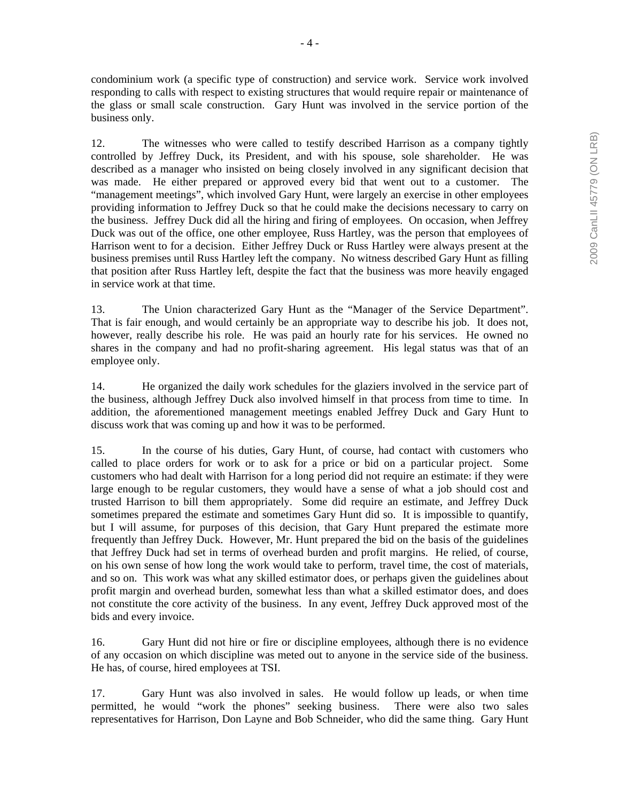condominium work (a specific type of construction) and service work. Service work involved responding to calls with respect to existing structures that would require repair or maintenance of the glass or small scale construction. Gary Hunt was involved in the service portion of the business only.

12. The witnesses who were called to testify described Harrison as a company tightly controlled by Jeffrey Duck, its President, and with his spouse, sole shareholder. He was described as a manager who insisted on being closely involved in any significant decision that was made. He either prepared or approved every bid that went out to a customer. The "management meetings", which involved Gary Hunt, were largely an exercise in other employees providing information to Jeffrey Duck so that he could make the decisions necessary to carry on the business. Jeffrey Duck did all the hiring and firing of employees. On occasion, when Jeffrey Duck was out of the office, one other employee, Russ Hartley, was the person that employees of Harrison went to for a decision. Either Jeffrey Duck or Russ Hartley were always present at the business premises until Russ Hartley left the company. No witness described Gary Hunt as filling that position after Russ Hartley left, despite the fact that the business was more heavily engaged in service work at that time.

13. The Union characterized Gary Hunt as the "Manager of the Service Department". That is fair enough, and would certainly be an appropriate way to describe his job. It does not, however, really describe his role. He was paid an hourly rate for his services. He owned no shares in the company and had no profit-sharing agreement. His legal status was that of an employee only.

14. He organized the daily work schedules for the glaziers involved in the service part of the business, although Jeffrey Duck also involved himself in that process from time to time. In addition, the aforementioned management meetings enabled Jeffrey Duck and Gary Hunt to discuss work that was coming up and how it was to be performed.

15. In the course of his duties, Gary Hunt, of course, had contact with customers who called to place orders for work or to ask for a price or bid on a particular project. Some customers who had dealt with Harrison for a long period did not require an estimate: if they were large enough to be regular customers, they would have a sense of what a job should cost and trusted Harrison to bill them appropriately. Some did require an estimate, and Jeffrey Duck sometimes prepared the estimate and sometimes Gary Hunt did so. It is impossible to quantify, but I will assume, for purposes of this decision, that Gary Hunt prepared the estimate more frequently than Jeffrey Duck. However, Mr. Hunt prepared the bid on the basis of the guidelines that Jeffrey Duck had set in terms of overhead burden and profit margins. He relied, of course, on his own sense of how long the work would take to perform, travel time, the cost of materials, and so on. This work was what any skilled estimator does, or perhaps given the guidelines about profit margin and overhead burden, somewhat less than what a skilled estimator does, and does not constitute the core activity of the business. In any event, Jeffrey Duck approved most of the bids and every invoice.

16. Gary Hunt did not hire or fire or discipline employees, although there is no evidence of any occasion on which discipline was meted out to anyone in the service side of the business. He has, of course, hired employees at TSI.

17. Gary Hunt was also involved in sales. He would follow up leads, or when time permitted, he would "work the phones" seeking business. There were also two sales representatives for Harrison, Don Layne and Bob Schneider, who did the same thing. Gary Hunt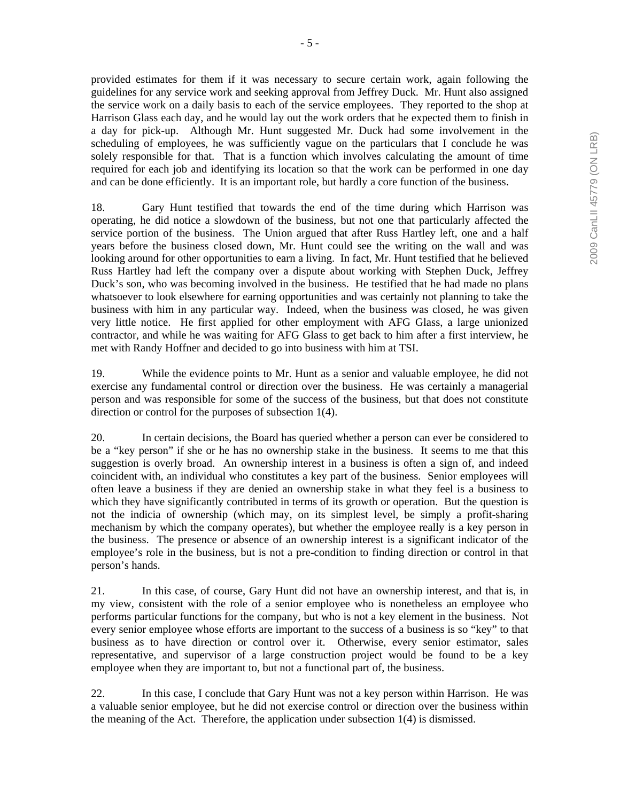provided estimates for them if it was necessary to secure certain work, again following the guidelines for any service work and seeking approval from Jeffrey Duck. Mr. Hunt also assigned the service work on a daily basis to each of the service employees. They reported to the shop at Harrison Glass each day, and he would lay out the work orders that he expected them to finish in a day for pick-up. Although Mr. Hunt suggested Mr. Duck had some involvement in the scheduling of employees, he was sufficiently vague on the particulars that I conclude he was solely responsible for that. That is a function which involves calculating the amount of time required for each job and identifying its location so that the work can be performed in one day and can be done efficiently. It is an important role, but hardly a core function of the business.

18. Gary Hunt testified that towards the end of the time during which Harrison was operating, he did notice a slowdown of the business, but not one that particularly affected the service portion of the business. The Union argued that after Russ Hartley left, one and a half years before the business closed down, Mr. Hunt could see the writing on the wall and was looking around for other opportunities to earn a living. In fact, Mr. Hunt testified that he believed Russ Hartley had left the company over a dispute about working with Stephen Duck, Jeffrey Duck's son, who was becoming involved in the business. He testified that he had made no plans whatsoever to look elsewhere for earning opportunities and was certainly not planning to take the business with him in any particular way. Indeed, when the business was closed, he was given very little notice. He first applied for other employment with AFG Glass, a large unionized contractor, and while he was waiting for AFG Glass to get back to him after a first interview, he met with Randy Hoffner and decided to go into business with him at TSI.

19. While the evidence points to Mr. Hunt as a senior and valuable employee, he did not exercise any fundamental control or direction over the business. He was certainly a managerial person and was responsible for some of the success of the business, but that does not constitute direction or control for the purposes of subsection 1(4).

20. In certain decisions, the Board has queried whether a person can ever be considered to be a "key person" if she or he has no ownership stake in the business. It seems to me that this suggestion is overly broad. An ownership interest in a business is often a sign of, and indeed coincident with, an individual who constitutes a key part of the business. Senior employees will often leave a business if they are denied an ownership stake in what they feel is a business to which they have significantly contributed in terms of its growth or operation. But the question is not the indicia of ownership (which may, on its simplest level, be simply a profit-sharing mechanism by which the company operates), but whether the employee really is a key person in the business. The presence or absence of an ownership interest is a significant indicator of the employee's role in the business, but is not a pre-condition to finding direction or control in that person's hands.

21. In this case, of course, Gary Hunt did not have an ownership interest, and that is, in my view, consistent with the role of a senior employee who is nonetheless an employee who performs particular functions for the company, but who is not a key element in the business. Not every senior employee whose efforts are important to the success of a business is so "key" to that business as to have direction or control over it. Otherwise, every senior estimator, sales representative, and supervisor of a large construction project would be found to be a key employee when they are important to, but not a functional part of, the business.

22. In this case, I conclude that Gary Hunt was not a key person within Harrison. He was a valuable senior employee, but he did not exercise control or direction over the business within the meaning of the Act. Therefore, the application under subsection 1(4) is dismissed.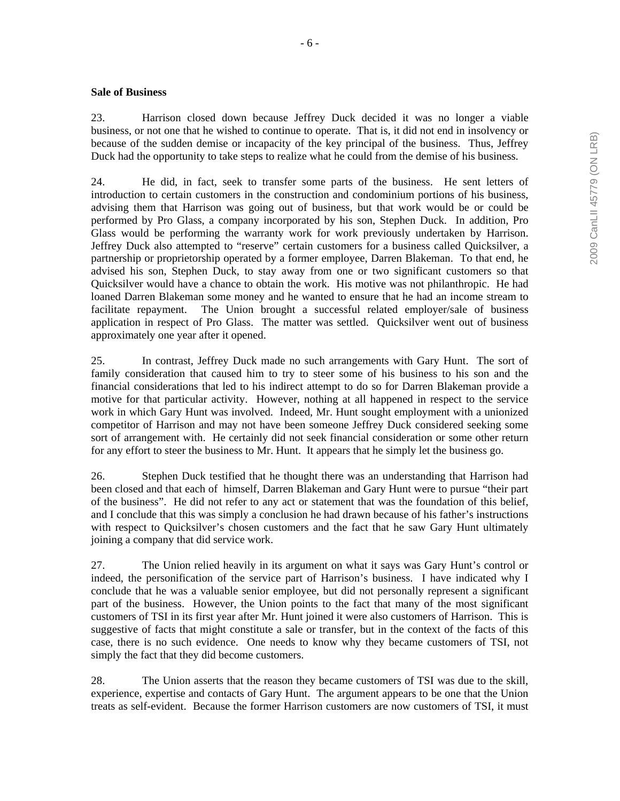### **Sale of Business**

23. Harrison closed down because Jeffrey Duck decided it was no longer a viable business, or not one that he wished to continue to operate. That is, it did not end in insolvency or because of the sudden demise or incapacity of the key principal of the business. Thus, Jeffrey Duck had the opportunity to take steps to realize what he could from the demise of his business.

24. He did, in fact, seek to transfer some parts of the business. He sent letters of introduction to certain customers in the construction and condominium portions of his business, advising them that Harrison was going out of business, but that work would be or could be performed by Pro Glass, a company incorporated by his son, Stephen Duck. In addition, Pro Glass would be performing the warranty work for work previously undertaken by Harrison. Jeffrey Duck also attempted to "reserve" certain customers for a business called Quicksilver, a partnership or proprietorship operated by a former employee, Darren Blakeman. To that end, he advised his son, Stephen Duck, to stay away from one or two significant customers so that Quicksilver would have a chance to obtain the work. His motive was not philanthropic. He had loaned Darren Blakeman some money and he wanted to ensure that he had an income stream to facilitate repayment. The Union brought a successful related employer/sale of business application in respect of Pro Glass. The matter was settled. Quicksilver went out of business approximately one year after it opened.

25. In contrast, Jeffrey Duck made no such arrangements with Gary Hunt. The sort of family consideration that caused him to try to steer some of his business to his son and the financial considerations that led to his indirect attempt to do so for Darren Blakeman provide a motive for that particular activity. However, nothing at all happened in respect to the service work in which Gary Hunt was involved. Indeed, Mr. Hunt sought employment with a unionized competitor of Harrison and may not have been someone Jeffrey Duck considered seeking some sort of arrangement with. He certainly did not seek financial consideration or some other return for any effort to steer the business to Mr. Hunt. It appears that he simply let the business go.

26. Stephen Duck testified that he thought there was an understanding that Harrison had been closed and that each of himself, Darren Blakeman and Gary Hunt were to pursue "their part of the business". He did not refer to any act or statement that was the foundation of this belief, and I conclude that this was simply a conclusion he had drawn because of his father's instructions with respect to Quicksilver's chosen customers and the fact that he saw Gary Hunt ultimately joining a company that did service work.

27. The Union relied heavily in its argument on what it says was Gary Hunt's control or indeed, the personification of the service part of Harrison's business. I have indicated why I conclude that he was a valuable senior employee, but did not personally represent a significant part of the business. However, the Union points to the fact that many of the most significant customers of TSI in its first year after Mr. Hunt joined it were also customers of Harrison. This is suggestive of facts that might constitute a sale or transfer, but in the context of the facts of this case, there is no such evidence. One needs to know why they became customers of TSI, not simply the fact that they did become customers.

28. The Union asserts that the reason they became customers of TSI was due to the skill, experience, expertise and contacts of Gary Hunt. The argument appears to be one that the Union treats as self-evident. Because the former Harrison customers are now customers of TSI, it must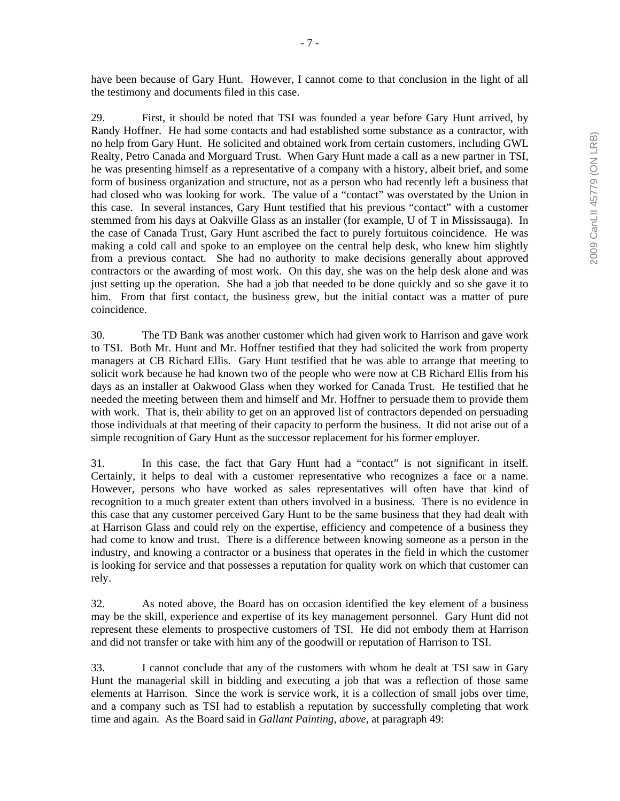29. First, it should be noted that TSI was founded a year before Gary Hunt arrived, by Randy Hoffner. He had some contacts and had established some substance as a contractor, with no help from Gary Hunt. He solicited and obtained work from certain customers, including GWL Realty, Petro Canada and Morguard Trust. When Gary Hunt made a call as a new partner in TSI, he was presenting himself as a representative of a company with a history, albeit brief, and some form of business organization and structure, not as a person who had recently left a business that had closed who was looking for work. The value of a "contact" was overstated by the Union in this case. In several instances, Gary Hunt testified that his previous "contact" with a customer stemmed from his days at Oakville Glass as an installer (for example, U of T in Mississauga). In the case of Canada Trust, Gary Hunt ascribed the fact to purely fortuitous coincidence. He was making a cold call and spoke to an employee on the central help desk, who knew him slightly from a previous contact. She had no authority to make decisions generally about approved contractors or the awarding of most work. On this day, she was on the help desk alone and was just setting up the operation. She had a job that needed to be done quickly and so she gave it to him. From that first contact, the business grew, but the initial contact was a matter of pure coincidence.

30. The TD Bank was another customer which had given work to Harrison and gave work to TSI. Both Mr. Hunt and Mr. Hoffner testified that they had solicited the work from property managers at CB Richard Ellis. Gary Hunt testified that he was able to arrange that meeting to solicit work because he had known two of the people who were now at CB Richard Ellis from his days as an installer at Oakwood Glass when they worked for Canada Trust. He testified that he needed the meeting between them and himself and Mr. Hoffner to persuade them to provide them with work. That is, their ability to get on an approved list of contractors depended on persuading those individuals at that meeting of their capacity to perform the business. It did not arise out of a simple recognition of Gary Hunt as the successor replacement for his former employer.

31. In this case, the fact that Gary Hunt had a "contact" is not significant in itself. Certainly, it helps to deal with a customer representative who recognizes a face or a name. However, persons who have worked as sales representatives will often have that kind of recognition to a much greater extent than others involved in a business. There is no evidence in this case that any customer perceived Gary Hunt to be the same business that they had dealt with at Harrison Glass and could rely on the expertise, efficiency and competence of a business they had come to know and trust. There is a difference between knowing someone as a person in the industry, and knowing a contractor or a business that operates in the field in which the customer is looking for service and that possesses a reputation for quality work on which that customer can rely.

32. As noted above, the Board has on occasion identified the key element of a business may be the skill, experience and expertise of its key management personnel. Gary Hunt did not represent these elements to prospective customers of TSI. He did not embody them at Harrison and did not transfer or take with him any of the goodwill or reputation of Harrison to TSI.

33. I cannot conclude that any of the customers with whom he dealt at TSI saw in Gary Hunt the managerial skill in bidding and executing a job that was a reflection of those same elements at Harrison. Since the work is service work, it is a collection of small jobs over time, and a company such as TSI had to establish a reputation by successfully completing that work time and again. As the Board said in *Gallant Painting*, *above*, at paragraph 49: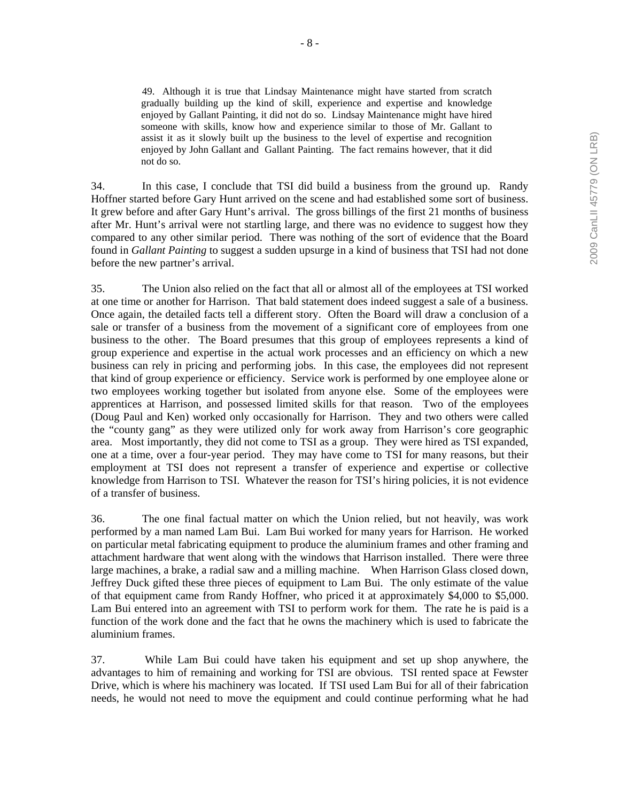49. Although it is true that Lindsay Maintenance might have started from scratch gradually building up the kind of skill, experience and expertise and knowledge enjoyed by Gallant Painting, it did not do so. Lindsay Maintenance might have hired someone with skills, know how and experience similar to those of Mr. Gallant to assist it as it slowly built up the business to the level of expertise and recognition enjoyed by John Gallant and Gallant Painting. The fact remains however, that it did not do so.

34. In this case, I conclude that TSI did build a business from the ground up. Randy Hoffner started before Gary Hunt arrived on the scene and had established some sort of business. It grew before and after Gary Hunt's arrival. The gross billings of the first 21 months of business after Mr. Hunt's arrival were not startling large, and there was no evidence to suggest how they compared to any other similar period. There was nothing of the sort of evidence that the Board found in *Gallant Painting* to suggest a sudden upsurge in a kind of business that TSI had not done before the new partner's arrival.

35. The Union also relied on the fact that all or almost all of the employees at TSI worked at one time or another for Harrison. That bald statement does indeed suggest a sale of a business. Once again, the detailed facts tell a different story. Often the Board will draw a conclusion of a sale or transfer of a business from the movement of a significant core of employees from one business to the other. The Board presumes that this group of employees represents a kind of group experience and expertise in the actual work processes and an efficiency on which a new business can rely in pricing and performing jobs. In this case, the employees did not represent that kind of group experience or efficiency. Service work is performed by one employee alone or two employees working together but isolated from anyone else. Some of the employees were apprentices at Harrison, and possessed limited skills for that reason. Two of the employees (Doug Paul and Ken) worked only occasionally for Harrison. They and two others were called the "county gang" as they were utilized only for work away from Harrison's core geographic area. Most importantly, they did not come to TSI as a group. They were hired as TSI expanded, one at a time, over a four-year period. They may have come to TSI for many reasons, but their employment at TSI does not represent a transfer of experience and expertise or collective knowledge from Harrison to TSI. Whatever the reason for TSI's hiring policies, it is not evidence of a transfer of business.

36. The one final factual matter on which the Union relied, but not heavily, was work performed by a man named Lam Bui. Lam Bui worked for many years for Harrison. He worked on particular metal fabricating equipment to produce the aluminium frames and other framing and attachment hardware that went along with the windows that Harrison installed. There were three large machines, a brake, a radial saw and a milling machine. When Harrison Glass closed down, Jeffrey Duck gifted these three pieces of equipment to Lam Bui. The only estimate of the value of that equipment came from Randy Hoffner, who priced it at approximately \$4,000 to \$5,000. Lam Bui entered into an agreement with TSI to perform work for them. The rate he is paid is a function of the work done and the fact that he owns the machinery which is used to fabricate the aluminium frames.

37. While Lam Bui could have taken his equipment and set up shop anywhere, the advantages to him of remaining and working for TSI are obvious. TSI rented space at Fewster Drive, which is where his machinery was located. If TSI used Lam Bui for all of their fabrication needs, he would not need to move the equipment and could continue performing what he had